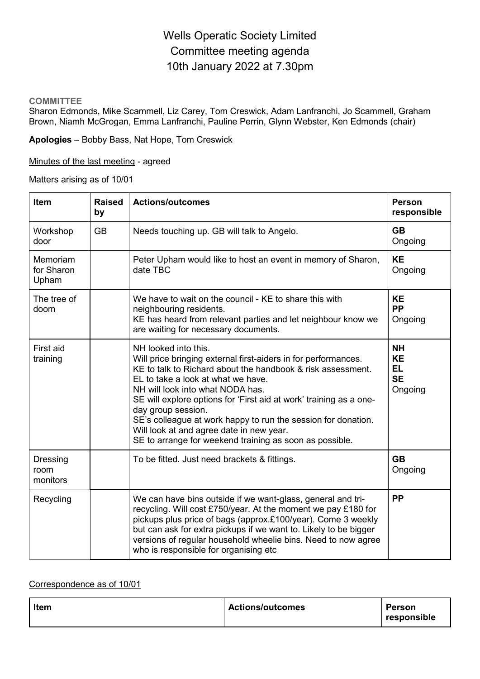# Wells Operatic Society Limited Committee meeting agenda 10th January 2022 at 7.30pm

#### **COMMITTEE**

Sharon Edmonds, Mike Scammell, Liz Carey, Tom Creswick, Adam Lanfranchi, Jo Scammell, Graham Brown, Niamh McGrogan, Emma Lanfranchi, Pauline Perrin, Glynn Webster, Ken Edmonds (chair)

**Apologies** – Bobby Bass, Nat Hope, Tom Creswick

Minutes of the last meeting - agreed

Matters arising as of 10/01

| <b>Item</b>                         | <b>Raised</b><br>by | <b>Actions/outcomes</b>                                                                                                                                                                                                                                                                                                                                                                                                                                                                             | Person<br>responsible                                       |
|-------------------------------------|---------------------|-----------------------------------------------------------------------------------------------------------------------------------------------------------------------------------------------------------------------------------------------------------------------------------------------------------------------------------------------------------------------------------------------------------------------------------------------------------------------------------------------------|-------------------------------------------------------------|
| Workshop<br>door                    | <b>GB</b>           | Needs touching up. GB will talk to Angelo.                                                                                                                                                                                                                                                                                                                                                                                                                                                          | <b>GB</b><br>Ongoing                                        |
| Memoriam<br>for Sharon<br>Upham     |                     | Peter Upham would like to host an event in memory of Sharon,<br>date TBC                                                                                                                                                                                                                                                                                                                                                                                                                            | <b>KE</b><br>Ongoing                                        |
| The tree of<br>doom                 |                     | We have to wait on the council - KE to share this with<br>neighbouring residents.<br>KE has heard from relevant parties and let neighbour know we<br>are waiting for necessary documents.                                                                                                                                                                                                                                                                                                           | <b>KE</b><br><b>PP</b><br>Ongoing                           |
| First aid<br>training               |                     | NH looked into this.<br>Will price bringing external first-aiders in for performances.<br>KE to talk to Richard about the handbook & risk assessment.<br>EL to take a look at what we have.<br>NH will look into what NODA has.<br>SE will explore options for 'First aid at work' training as a one-<br>day group session.<br>SE's colleague at work happy to run the session for donation.<br>Will look at and agree date in new year.<br>SE to arrange for weekend training as soon as possible. | <b>NH</b><br><b>KE</b><br><b>EL</b><br><b>SE</b><br>Ongoing |
| <b>Dressing</b><br>room<br>monitors |                     | To be fitted. Just need brackets & fittings.                                                                                                                                                                                                                                                                                                                                                                                                                                                        | <b>GB</b><br>Ongoing                                        |
| Recycling                           |                     | We can have bins outside if we want-glass, general and tri-<br>recycling. Will cost £750/year. At the moment we pay £180 for<br>pickups plus price of bags (approx.£100/year). Come 3 weekly<br>but can ask for extra pickups if we want to. Likely to be bigger<br>versions of regular household wheelie bins. Need to now agree<br>who is responsible for organising etc                                                                                                                          | <b>PP</b>                                                   |

#### Correspondence as of 10/01

| <b>Actions/outcomes</b> | Person<br>responsible |
|-------------------------|-----------------------|
|                         |                       |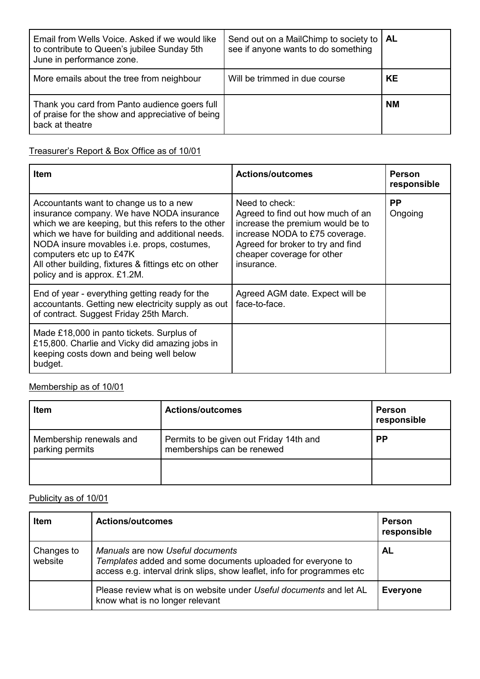| Email from Wells Voice. Asked if we would like<br>to contribute to Queen's jubilee Sunday 5th<br>June in performance zone. | Send out on a MailChimp to society to   AL<br>see if anyone wants to do something |           |
|----------------------------------------------------------------------------------------------------------------------------|-----------------------------------------------------------------------------------|-----------|
| More emails about the tree from neighbour                                                                                  | Will be trimmed in due course                                                     | KE        |
| Thank you card from Panto audience goers full<br>of praise for the show and appreciative of being<br>back at theatre       |                                                                                   | <b>NM</b> |

# Treasurer's Report & Box Office as of 10/01

| <b>Item</b>                                                                                                                                                                                                                                                                                                                                                     | <b>Actions/outcomes</b>                                                                                                                                                                                    | <b>Person</b><br>responsible |
|-----------------------------------------------------------------------------------------------------------------------------------------------------------------------------------------------------------------------------------------------------------------------------------------------------------------------------------------------------------------|------------------------------------------------------------------------------------------------------------------------------------------------------------------------------------------------------------|------------------------------|
| Accountants want to change us to a new<br>insurance company. We have NODA insurance<br>which we are keeping, but this refers to the other<br>which we have for building and additional needs.<br>NODA insure movables i.e. props, costumes,<br>computers etc up to £47K<br>All other building, fixtures & fittings etc on other<br>policy and is approx. £1.2M. | Need to check:<br>Agreed to find out how much of an<br>increase the premium would be to<br>increase NODA to £75 coverage.<br>Agreed for broker to try and find<br>cheaper coverage for other<br>insurance. | <b>PP</b><br>Ongoing         |
| End of year - everything getting ready for the<br>accountants. Getting new electricity supply as out<br>of contract. Suggest Friday 25th March.                                                                                                                                                                                                                 | Agreed AGM date. Expect will be<br>face-to-face.                                                                                                                                                           |                              |
| Made £18,000 in panto tickets. Surplus of<br>£15,800. Charlie and Vicky did amazing jobs in<br>keeping costs down and being well below<br>budget.                                                                                                                                                                                                               |                                                                                                                                                                                                            |                              |

# Membership as of 10/01

| Item                                       | <b>Actions/outcomes</b>                                               | <b>Person</b><br>responsible |
|--------------------------------------------|-----------------------------------------------------------------------|------------------------------|
| Membership renewals and<br>parking permits | Permits to be given out Friday 14th and<br>memberships can be renewed | <b>PP</b>                    |
|                                            |                                                                       |                              |

# Publicity as of 10/01

| Item                  | <b>Actions/outcomes</b>                                                                                                                                                    | <b>Person</b><br>responsible |
|-----------------------|----------------------------------------------------------------------------------------------------------------------------------------------------------------------------|------------------------------|
| Changes to<br>website | Manuals are now Useful documents<br>Templates added and some documents uploaded for everyone to<br>access e.g. interval drink slips, show leaflet, info for programmes etc | <b>AL</b>                    |
|                       | Please review what is on website under Useful documents and let AL<br>know what is no longer relevant                                                                      | <b>Everyone</b>              |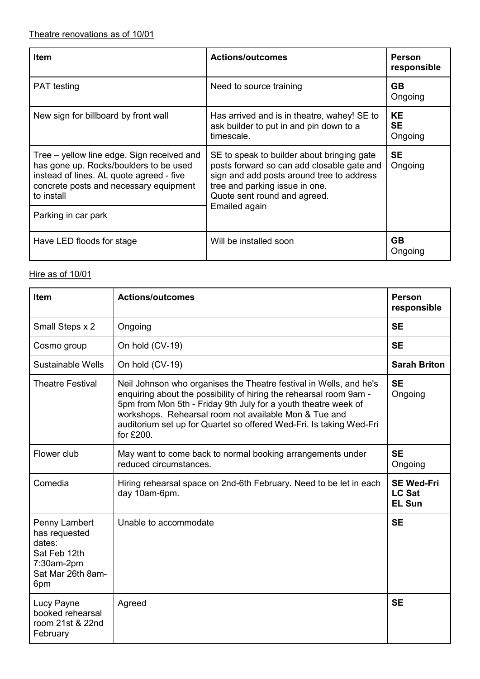| <b>Item</b>                                                                                                                                                                                                     | <b>Actions/outcomes</b>                                                                                                                                                                                                  | <b>Person</b><br>responsible      |
|-----------------------------------------------------------------------------------------------------------------------------------------------------------------------------------------------------------------|--------------------------------------------------------------------------------------------------------------------------------------------------------------------------------------------------------------------------|-----------------------------------|
| <b>PAT</b> testing                                                                                                                                                                                              | Need to source training                                                                                                                                                                                                  | <b>GB</b><br>Ongoing              |
| New sign for billboard by front wall                                                                                                                                                                            | Has arrived and is in theatre, wahey! SE to<br>ask builder to put in and pin down to a<br>timescale.                                                                                                                     | <b>KE</b><br><b>SE</b><br>Ongoing |
| Tree – yellow line edge. Sign received and<br>has gone up. Rocks/boulders to be used<br>instead of lines. AL quote agreed - five<br>concrete posts and necessary equipment<br>to install<br>Parking in car park | SE to speak to builder about bringing gate<br>posts forward so can add closable gate and<br>sign and add posts around tree to address<br>tree and parking issue in one.<br>Quote sent round and agreed.<br>Emailed again | <b>SE</b><br>Ongoing              |
| Have LED floods for stage                                                                                                                                                                                       | Will be installed soon                                                                                                                                                                                                   | <b>GB</b><br>Ongoing              |

#### Hire as of 10/01

| <b>Item</b>                                                                                        | <b>Actions/outcomes</b>                                                                                                                                                                                                                                                                                                                                 | <b>Person</b><br>responsible                        |
|----------------------------------------------------------------------------------------------------|---------------------------------------------------------------------------------------------------------------------------------------------------------------------------------------------------------------------------------------------------------------------------------------------------------------------------------------------------------|-----------------------------------------------------|
| Small Steps x 2                                                                                    | Ongoing                                                                                                                                                                                                                                                                                                                                                 | <b>SE</b>                                           |
| Cosmo group                                                                                        | On hold (CV-19)                                                                                                                                                                                                                                                                                                                                         | <b>SE</b>                                           |
| Sustainable Wells                                                                                  | On hold (CV-19)                                                                                                                                                                                                                                                                                                                                         | <b>Sarah Briton</b>                                 |
| <b>Theatre Festival</b>                                                                            | Neil Johnson who organises the Theatre festival in Wells, and he's<br>enquiring about the possibility of hiring the rehearsal room 9am -<br>5pm from Mon 5th - Friday 9th July for a youth theatre week of<br>workshops. Rehearsal room not available Mon & Tue and<br>auditorium set up for Quartet so offered Wed-Fri. Is taking Wed-Fri<br>for £200. | <b>SE</b><br>Ongoing                                |
| Flower club                                                                                        | May want to come back to normal booking arrangements under<br>reduced circumstances.                                                                                                                                                                                                                                                                    | <b>SE</b><br>Ongoing                                |
| Comedia                                                                                            | Hiring rehearsal space on 2nd-6th February. Need to be let in each<br>day 10am-6pm.                                                                                                                                                                                                                                                                     | <b>SE Wed-Fri</b><br><b>LC Sat</b><br><b>EL Sun</b> |
| Penny Lambert<br>has requested<br>dates:<br>Sat Feb 12th<br>7:30am-2pm<br>Sat Mar 26th 8am-<br>6pm | Unable to accommodate                                                                                                                                                                                                                                                                                                                                   | <b>SE</b>                                           |
| Lucy Payne<br>booked rehearsal<br>room 21st & 22nd<br>February                                     | Agreed                                                                                                                                                                                                                                                                                                                                                  | <b>SE</b>                                           |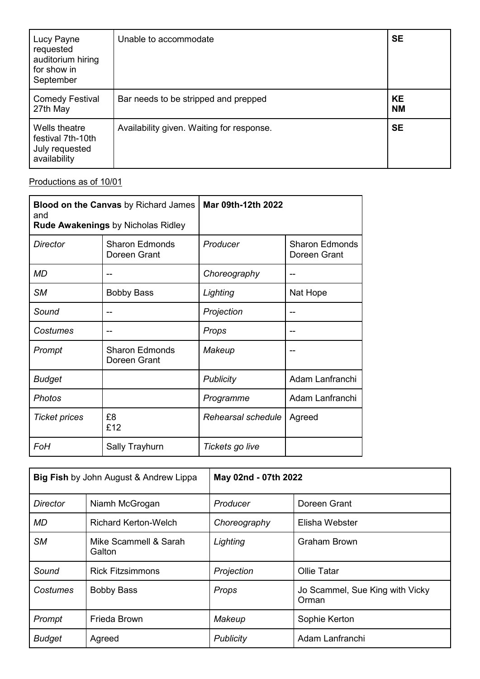| Lucy Payne<br>requested<br>auditorium hiring<br>for show in<br>September | Unable to accommodate                     | <b>SE</b>              |
|--------------------------------------------------------------------------|-------------------------------------------|------------------------|
| <b>Comedy Festival</b><br>27th May                                       | Bar needs to be stripped and prepped      | <b>KE</b><br><b>NM</b> |
| Wells theatre<br>festival 7th-10th<br>July requested<br>availability     | Availability given. Waiting for response. | <b>SE</b>              |

### Productions as of 10/01

| <b>Blood on the Canvas</b> by Richard James<br>and<br><b>Rude Awakenings by Nicholas Ridley</b> |                                       | Mar 09th-12th 2022 |                                       |
|-------------------------------------------------------------------------------------------------|---------------------------------------|--------------------|---------------------------------------|
| <b>Director</b>                                                                                 | <b>Sharon Edmonds</b><br>Doreen Grant | Producer           | <b>Sharon Edmonds</b><br>Doreen Grant |
| <b>MD</b>                                                                                       |                                       | Choreography       |                                       |
| <b>SM</b>                                                                                       | <b>Bobby Bass</b>                     | Lighting           | Nat Hope                              |
| Sound                                                                                           |                                       | Projection         |                                       |
| Costumes                                                                                        |                                       | Props              |                                       |
| Prompt                                                                                          | <b>Sharon Edmonds</b><br>Doreen Grant | Makeup             |                                       |
| <b>Budget</b>                                                                                   |                                       | <b>Publicity</b>   | Adam Lanfranchi                       |
| <b>Photos</b>                                                                                   |                                       | Programme          | Adam Lanfranchi                       |
| <b>Ticket prices</b>                                                                            | £8<br>£12                             | Rehearsal schedule | Agreed                                |
| FoH                                                                                             | Sally Trayhurn                        | Tickets go live    |                                       |

| <b>Big Fish</b> by John August & Andrew Lippa |                                 | May 02nd - 07th 2022 |                                          |
|-----------------------------------------------|---------------------------------|----------------------|------------------------------------------|
| Director                                      | Niamh McGrogan                  | Producer             | Doreen Grant                             |
| <b>MD</b>                                     | <b>Richard Kerton-Welch</b>     | Choreography         | Elisha Webster                           |
| <b>SM</b>                                     | Mike Scammell & Sarah<br>Galton | Lighting             | <b>Graham Brown</b>                      |
| Sound                                         | <b>Rick Fitzsimmons</b>         | Projection           | <b>Ollie Tatar</b>                       |
| Costumes                                      | <b>Bobby Bass</b>               | Props                | Jo Scammel, Sue King with Vicky<br>Orman |
| Prompt                                        | Frieda Brown                    | Makeup               | Sophie Kerton                            |
| <b>Budget</b>                                 | Agreed                          | Publicity            | Adam Lanfranchi                          |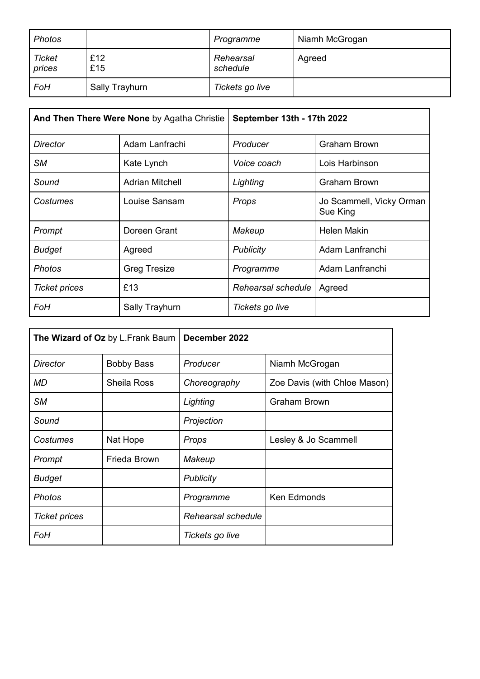| <b>Photos</b>           |                | Programme             | Niamh McGrogan |
|-------------------------|----------------|-----------------------|----------------|
| <b>Ticket</b><br>prices | £12<br>£15     | Rehearsal<br>schedule | Agreed         |
| FoH                     | Sally Trayhurn | Tickets go live       |                |

| And Then There Were None by Agatha Christie |                        | September 13th - 17th 2022 |                                      |
|---------------------------------------------|------------------------|----------------------------|--------------------------------------|
| <b>Director</b>                             | Adam Lanfrachi         | Producer                   | <b>Graham Brown</b>                  |
| <b>SM</b>                                   | Kate Lynch             | Voice coach                | Lois Harbinson                       |
| Sound                                       | <b>Adrian Mitchell</b> | Lighting                   | <b>Graham Brown</b>                  |
| Costumes                                    | Louise Sansam          | Props                      | Jo Scammell, Vicky Orman<br>Sue King |
| Prompt                                      | Doreen Grant           | Makeup                     | <b>Helen Makin</b>                   |
| <b>Budget</b>                               | Agreed                 | Publicity                  | Adam Lanfranchi                      |
| <b>Photos</b>                               | <b>Greg Tresize</b>    | Programme                  | Adam Lanfranchi                      |
| <b>Ticket prices</b>                        | £13                    | Rehearsal schedule         | Agreed                               |
| FoH                                         | Sally Trayhurn         | Tickets go live            |                                      |

| The Wizard of Oz by L.Frank Baum |                    | December 2022      |                              |
|----------------------------------|--------------------|--------------------|------------------------------|
| <b>Director</b>                  | <b>Bobby Bass</b>  | Producer           | Niamh McGrogan               |
| MD                               | <b>Sheila Ross</b> | Choreography       | Zoe Davis (with Chloe Mason) |
| <b>SM</b>                        |                    | Lighting           | Graham Brown                 |
| Sound                            |                    | Projection         |                              |
| Costumes                         | Nat Hope           | Props              | Lesley & Jo Scammell         |
| Prompt                           | Frieda Brown       | Makeup             |                              |
| <b>Budget</b>                    |                    | <b>Publicity</b>   |                              |
| Photos                           |                    | Programme          | <b>Ken Edmonds</b>           |
| <b>Ticket prices</b>             |                    | Rehearsal schedule |                              |
| FoH                              |                    | Tickets go live    |                              |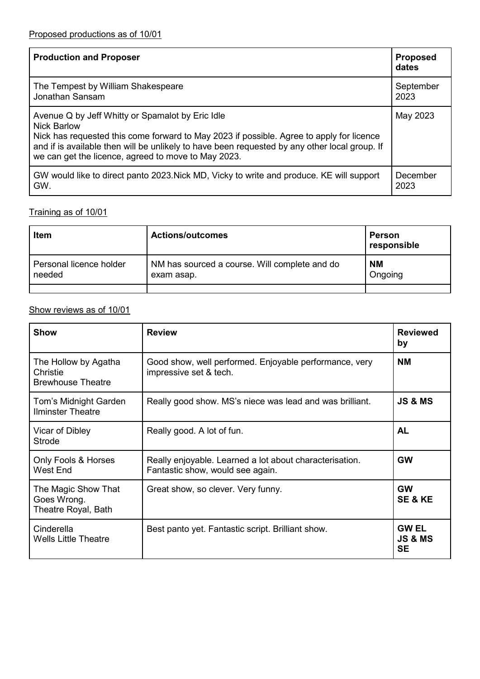| <b>Production and Proposer</b>                                                                                                                                                                                                                                                                                             | <b>Proposed</b><br>dates |
|----------------------------------------------------------------------------------------------------------------------------------------------------------------------------------------------------------------------------------------------------------------------------------------------------------------------------|--------------------------|
| The Tempest by William Shakespeare                                                                                                                                                                                                                                                                                         | September                |
| Jonathan Sansam                                                                                                                                                                                                                                                                                                            | 2023                     |
| Avenue Q by Jeff Whitty or Spamalot by Eric Idle<br><b>Nick Barlow</b><br>Nick has requested this come forward to May 2023 if possible. Agree to apply for licence<br>and if is available then will be unlikely to have been requested by any other local group. If<br>we can get the licence, agreed to move to May 2023. | May 2023                 |
| GW would like to direct panto 2023. Nick MD, Vicky to write and produce. KE will support                                                                                                                                                                                                                                   | December                 |
| GW.                                                                                                                                                                                                                                                                                                                        | 2023                     |

### Training as of 10/01

| <b>Actions/outcomes</b>                                     | Person<br>responsible |
|-------------------------------------------------------------|-----------------------|
| NM has sourced a course. Will complete and do<br>exam asap. | <b>NM</b><br>Ongoing  |
|                                                             |                       |

# Show reviews as of 10/01

| Show                                                         | <b>Review</b>                                                                               | <b>Reviewed</b><br>by                           |
|--------------------------------------------------------------|---------------------------------------------------------------------------------------------|-------------------------------------------------|
| The Hollow by Agatha<br>Christie<br><b>Brewhouse Theatre</b> | Good show, well performed. Enjoyable performance, very<br>impressive set & tech.            | <b>NM</b>                                       |
| Tom's Midnight Garden<br><b>Ilminster Theatre</b>            | Really good show. MS's niece was lead and was brilliant.                                    | <b>JS &amp; MS</b>                              |
| Vicar of Dibley<br>Strode                                    | Really good. A lot of fun.                                                                  | <b>AL</b>                                       |
| Only Fools & Horses<br>West End                              | Really enjoyable. Learned a lot about characterisation.<br>Fantastic show, would see again. | <b>GW</b>                                       |
| The Magic Show That<br>Goes Wrong.<br>Theatre Royal, Bath    | Great show, so clever. Very funny.                                                          | <b>GW</b><br><b>SE &amp; KE</b>                 |
| Cinderella<br><b>Wells Little Theatre</b>                    | Best panto yet. Fantastic script. Brilliant show.                                           | <b>GW EL</b><br><b>JS &amp; MS</b><br><b>SE</b> |